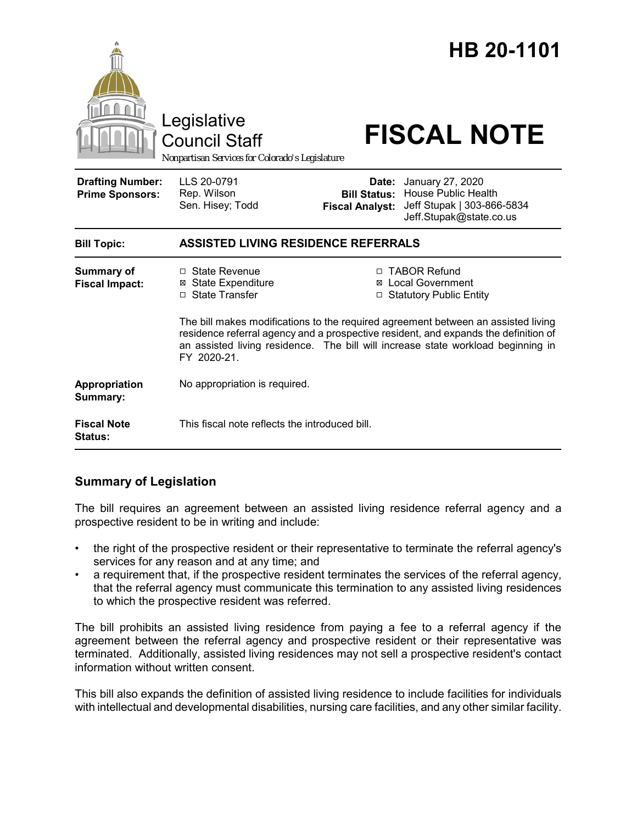|                                                   | Legislative<br><b>Council Staff</b><br>Nonpartisan Services for Colorado's Legislature                                                                                                                                                                                      |                                 | HB 20-1101<br><b>FISCAL NOTE</b>                                                                                     |
|---------------------------------------------------|-----------------------------------------------------------------------------------------------------------------------------------------------------------------------------------------------------------------------------------------------------------------------------|---------------------------------|----------------------------------------------------------------------------------------------------------------------|
| <b>Drafting Number:</b><br><b>Prime Sponsors:</b> | LLS 20-0791<br>Rep. Wilson<br>Sen. Hisey; Todd                                                                                                                                                                                                                              | Date:<br><b>Fiscal Analyst:</b> | January 27, 2020<br><b>Bill Status: House Public Health</b><br>Jeff Stupak   303-866-5834<br>Jeff.Stupak@state.co.us |
| <b>Bill Topic:</b>                                | <b>ASSISTED LIVING RESIDENCE REFERRALS</b>                                                                                                                                                                                                                                  |                                 |                                                                                                                      |
| <b>Summary of</b><br><b>Fiscal Impact:</b>        | □ State Revenue<br><b>State Expenditure</b><br>⊠<br>□ State Transfer                                                                                                                                                                                                        |                                 | □ TABOR Refund<br>⊠ Local Government<br>□ Statutory Public Entity                                                    |
|                                                   | The bill makes modifications to the required agreement between an assisted living<br>residence referral agency and a prospective resident, and expands the definition of<br>an assisted living residence. The bill will increase state workload beginning in<br>FY 2020-21. |                                 |                                                                                                                      |
| Appropriation<br>Summary:                         | No appropriation is required.                                                                                                                                                                                                                                               |                                 |                                                                                                                      |
| <b>Fiscal Note</b><br><b>Status:</b>              | This fiscal note reflects the introduced bill.                                                                                                                                                                                                                              |                                 |                                                                                                                      |

#### **Summary of Legislation**

The bill requires an agreement between an assisted living residence referral agency and a prospective resident to be in writing and include:

- the right of the prospective resident or their representative to terminate the referral agency's services for any reason and at any time; and
- a requirement that, if the prospective resident terminates the services of the referral agency, that the referral agency must communicate this termination to any assisted living residences to which the prospective resident was referred.

The bill prohibits an assisted living residence from paying a fee to a referral agency if the agreement between the referral agency and prospective resident or their representative was terminated. Additionally, assisted living residences may not sell a prospective resident's contact information without written consent.

This bill also expands the definition of assisted living residence to include facilities for individuals with intellectual and developmental disabilities, nursing care facilities, and any other similar facility.